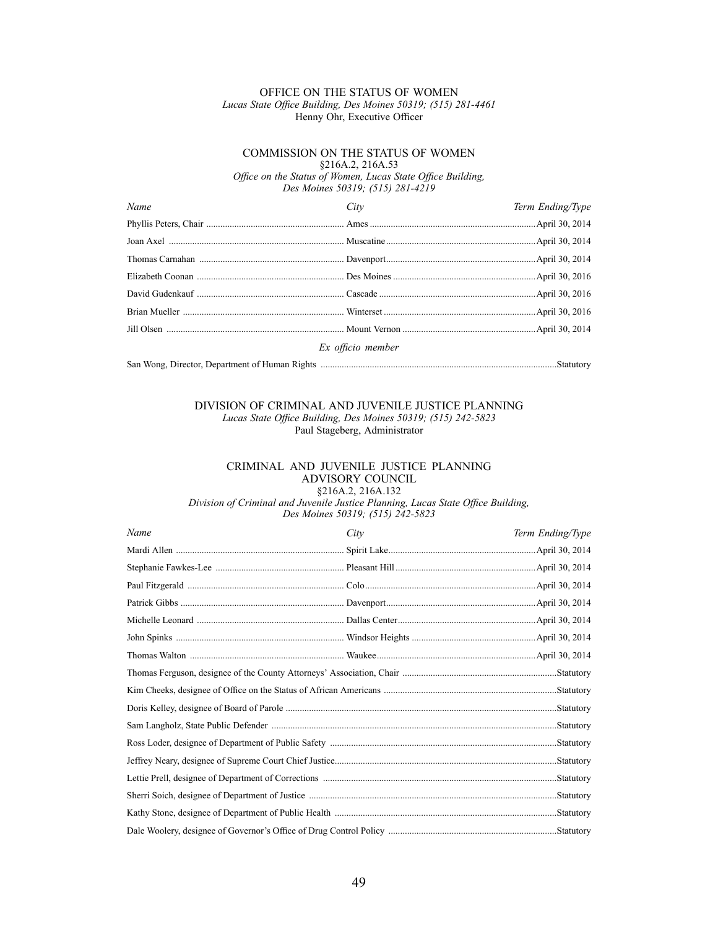### OFFICE ON THE STATUS OF WOMEN *Lucas State Office Building, Des Moines 50319; (515) 281-4461* Henny Ohr, Executive Officer

#### COMMISSION ON THE STATUS OF WOMEN §216A.2, 216A.53 *Office on the Status of Women, Lucas State Office Building, Des Moines 50319; (515) 281-4219*

| Name              | City | Term Ending/Type |  |
|-------------------|------|------------------|--|
|                   |      |                  |  |
|                   |      |                  |  |
|                   |      |                  |  |
|                   |      |                  |  |
|                   |      |                  |  |
|                   |      |                  |  |
|                   |      |                  |  |
| Ex officio member |      |                  |  |

San Wong, Director, Department of Human Rights .....................................................................................................Statutory

### DIVISION OF CRIMINAL AND JUVENILE JUSTICE PLANNING *Lucas State Office Building, Des Moines 50319; (515) 242-5823* Paul Stageberg, Administrator

## CRIMINAL AND JUVENILE JUSTICE PLANNING ADVISORY COUNCIL §216A.2, 216A.132 Division of Criminal and Juvenile Justice Planning, Lucas State Office Building,

*Des Moines 50319; (515) 242-5823*

| Name | City | Term Ending/Type |
|------|------|------------------|
|      |      |                  |
|      |      |                  |
|      |      |                  |
|      |      |                  |
|      |      |                  |
|      |      |                  |
|      |      |                  |
|      |      |                  |
|      |      |                  |
|      |      |                  |
|      |      |                  |
|      |      |                  |
|      |      |                  |
|      |      |                  |
|      |      | .Statutory       |
|      |      |                  |
|      |      |                  |
|      |      |                  |